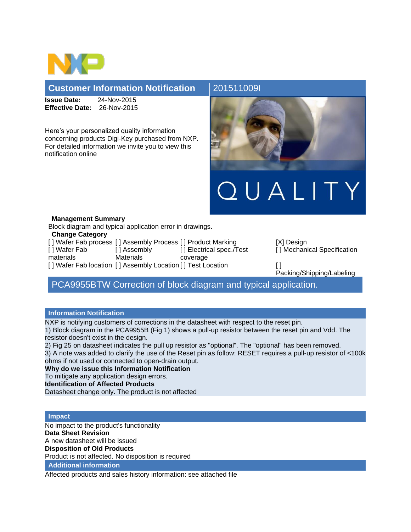

## **Customer Information Notification** 2015110091

**Issue Date:** 24-Nov-2015 **Effective Date:** 26-Nov-2015

Here's your personalized quality information concerning products Digi-Key purchased from NXP. For detailed information we invite you to view this notification online



### **Management Summary**

Block diagram and typical application error in drawings.

### **Change Category**

|               |            | [] Wafer Fab process [] Assembly Process [] Product Marking | ſХ  |
|---------------|------------|-------------------------------------------------------------|-----|
| I I Wafer Fab | [ Assembly | [] Electrical spec./Test                                    | I l |
| materials     | Materials  | coverage                                                    |     |
|               |            | [] Wafer Fab location [] Assembly Location [] Test Location | ſ1  |

[X] Design [ ] Mechanical Specification

Packing/Shipping/Labeling

# PCA9955BTW Correction of block diagram and typical application.

## **Information Notification**

NXP is notifying customers of corrections in the datasheet with respect to the reset pin.

1) Block diagram in the PCA9955B (Fig 1) shows a pull-up resistor between the reset pin and Vdd. The resistor doesn't exist in the design.

2) Fig 25 on datasheet indicates the pull up resistor as "optional". The "optional" has been removed.

3) A note was added to clarify the use of the Reset pin as follow: RESET requires a pull-up resistor of <100k ohms if not used or connected to open-drain output.

**Why do we issue this Information Notification**

To mitigate any application design errors.

**Identification of Affected Products**

Datasheet change only. The product is not affected

### **Impact**

No impact to the product's functionality **Data Sheet Revision** A new datasheet will be issued **Disposition of Old Products** Product is not affected. No disposition is required

**Additional information**

Affected products and sales history information: see attached file